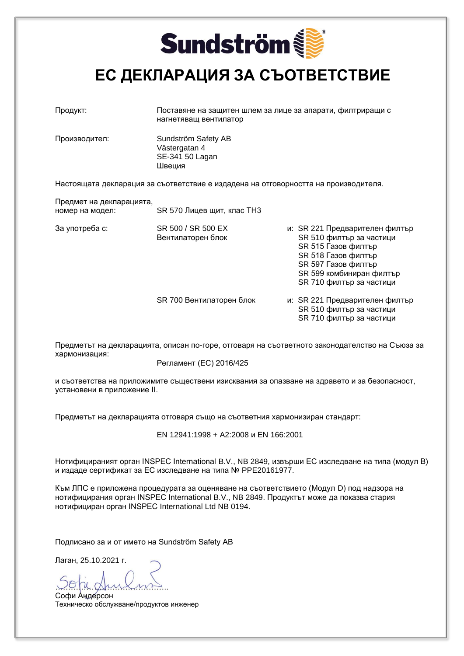# **Sundström**

#### **ЕС ДЕКЛАРАЦИЯ ЗА СЪОТВЕТСТВИЕ**

| Продукт:                                    | Поставяне на защитен шлем за лице за апарати, филтриращи с<br>нагнетяващ вентилатор |  |                                                                                                                                                                                         |  |
|---------------------------------------------|-------------------------------------------------------------------------------------|--|-----------------------------------------------------------------------------------------------------------------------------------------------------------------------------------------|--|
| Производител:                               | Sundström Safety AB<br>Västergatan 4<br>SE-341 50 Lagan<br>Швеция                   |  |                                                                                                                                                                                         |  |
|                                             | Настоящата декларация за съответствие е издадена на отговорността на производителя. |  |                                                                                                                                                                                         |  |
| Предмет на декларацията,<br>номер на модел: | SR 570 Лицев щит, клас ТН3                                                          |  |                                                                                                                                                                                         |  |
| За употреба с:                              | SR 500 / SR 500 EX<br>Вентилаторен блок                                             |  | и: SR 221 Предварителен филтър<br>SR 510 филтър за частици<br>SR 515 Газов филтър<br>SR 518 Газов филтър<br>SR 597 Газов филтър<br>SR 599 комбиниран филтър<br>SR 710 филтър за частици |  |
|                                             | SR 700 Вентилаторен блок                                                            |  | и: SR 221 Предварителен филтър<br>SR 510 филтър за частици<br>SR 710 филтър за частици                                                                                                  |  |

Предметът на декларацията, описан по-горе, отговаря на съответното законодателство на Съюза за хармонизация:

Регламент (ЕС) 2016/425

и съответства на приложимите съществени изисквания за опазване на здравето и за безопасност, установени в приложение II.

Предметът на декларацията отговаря също на съответния хармонизиран стандарт:

EN 12941:1998 + A2:2008 и EN 166:2001

Нотифицираният орган INSPEC International B.V., NB 2849, извърши ЕС изследване на типа (модул B) и издаде сертификат за ЕС изследване на типа № PPE20161977.

Към ЛПС е приложена процедурата за оценяване на съответствието (Модул D) под надзора на нотифицирания орган INSPEC International B.V., NB 2849. Продуктът може да показва стария нотифициран орган INSPEC International Ltd NB 0194.

Подписано за и от името на Sundström Safety AB

Лаган, 25.10.2021 г.

<u>voja armi</u>

Софи Андерсон Техническо обслужване/продуктов инженер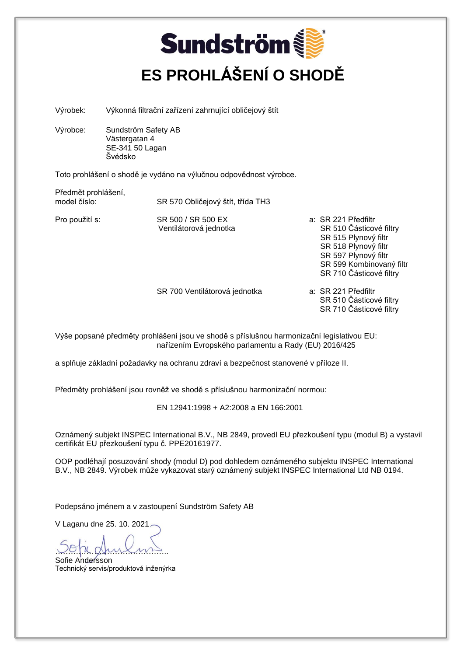### **Sundström ES PROHLÁŠENÍ O SHODĚ**

Výrobek: Výkonná filtrační zařízení zahrnující obličejový štít

Výrobce: Sundström Safety AB Västergatan 4 SE-341 50 Lagan Švédsko

Toto prohlášení o shodě je vydáno na výlučnou odpovědnost výrobce.

Předmět prohlášení,<br>model číslo:

SR 570 Obličejový štít, třída TH3

Ventilátorová jednotka

- Pro použití s: SR 500 / SR 500 EX a: SR 221 Předfiltr SR 515 Plynový filtr SR 518 Plynový filtr SR 597 Plynový filtr SR 599 Kombinovaný filtr SR 710 Částicové filtry
	- SR 700 Ventilátorová jednotka a: SR 221 Předfiltr SR 510 Částicové filtry SR 710 Částicové filtry

Výše popsané předměty prohlášení jsou ve shodě s příslušnou harmonizační legislativou EU: nařízením Evropského parlamentu a Rady (EU) 2016/425

a splňuje základní požadavky na ochranu zdraví a bezpečnost stanovené v příloze II.

Předměty prohlášení jsou rovněž ve shodě s příslušnou harmonizační normou:

EN 12941:1998 + A2:2008 a EN 166:2001

Oznámený subjekt INSPEC International B.V., NB 2849, provedl EU přezkoušení typu (modul B) a vystavil certifikát EU přezkoušení typu č. PPE20161977.

OOP podléhají posuzování shody (modul D) pod dohledem oznámeného subjektu INSPEC International B.V., NB 2849. Výrobek může vykazovat starý oznámený subjekt INSPEC International Ltd NB 0194.

Podepsáno jménem a v zastoupení Sundström Safety AB

V Laganu dne 25. 10. 2021

<u>vojugnik</u> Sofie Andersson

Technický servis/produktová inženýrka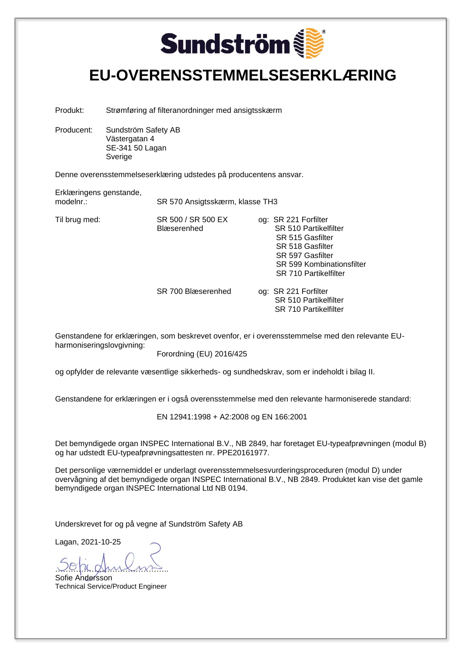# **Sundström**

#### **EU-OVERENSSTEMMELSESERKLÆRING**

Produkt: Strømføring af filteranordninger med ansigtsskærm

Producent: Sundström Safety AB Västergatan 4 SE-341 50 Lagan Sverige

Denne overensstemmelseserklæring udstedes på producentens ansvar.

Erklæringens genstande,

modelnr.: SR 570 Ansigtsskærm, klasse TH3

Til brug med: SR 500 / SR 500 EX og: SR 221 Forfilter Blæserenhed SR 510 Partikelfilter SR 515 Gasfilter SR 518 Gasfilter SR 597 Gasfilter SR 599 Kombinationsfilter SR 710 Partikelfilter

> SR 700 Blæserenhed og: SR 221 Forfilter SR 510 Partikelfilter SR 710 Partikelfilter

Genstandene for erklæringen, som beskrevet ovenfor, er i overensstemmelse med den relevante EUharmoniseringslovgivning:

Forordning (EU) 2016/425

og opfylder de relevante væsentlige sikkerheds- og sundhedskrav, som er indeholdt i bilag II.

Genstandene for erklæringen er i også overensstemmelse med den relevante harmoniserede standard:

EN 12941:1998 + A2:2008 og EN 166:2001

Det bemyndigede organ INSPEC International B.V., NB 2849, har foretaget EU-typeafprøvningen (modul B) og har udstedt EU-typeafprøvningsattesten nr. PPE20161977.

Det personlige værnemiddel er underlagt overensstemmelsesvurderingsproceduren (modul D) under overvågning af det bemyndigede organ INSPEC International B.V., NB 2849. Produktet kan vise det gamle bemyndigede organ INSPEC International Ltd NB 0194.

Underskrevet for og på vegne af Sundström Safety AB

<u>voja gruioms</u>

Sofie Andersson Technical Service/Product Engineer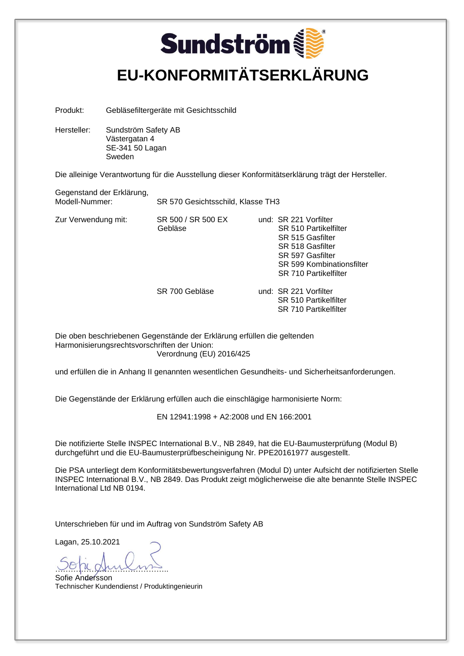### **Sundström EU-KONFORMITÄTSERKLÄRUNG**

Produkt: Gebläsefiltergeräte mit Gesichtsschild

Hersteller: Sundström Safety AB Västergatan 4 SE-341 50 Lagan Sweden

Die alleinige Verantwortung für die Ausstellung dieser Konformitätserklärung trägt der Hersteller.

Gegenstand der Erklärung,<br>Modell-Nummer:

SR 570 Gesichtsschild, Klasse TH3

Zur Verwendung mit: SR 500 / SR 500 EX und: SR 221 Vorfilter

Gebläse SR 510 Partikelfilter SR 515 Gasfilter SR 518 Gasfilter SR 597 Gasfilter SR 599 Kombinationsfilter SR 710 Partikelfilter

SR 700 Gebläse und: SR 221 Vorfilter SR 510 Partikelfilter SR 710 Partikelfilter

Die oben beschriebenen Gegenstände der Erklärung erfüllen die geltenden Harmonisierungsrechtsvorschriften der Union: Verordnung (EU) 2016/425

und erfüllen die in Anhang II genannten wesentlichen Gesundheits- und Sicherheitsanforderungen.

Die Gegenstände der Erklärung erfüllen auch die einschlägige harmonisierte Norm:

EN 12941:1998 + A2:2008 und EN 166:2001

Die notifizierte Stelle INSPEC International B.V., NB 2849, hat die EU-Baumusterprüfung (Modul B) durchgeführt und die EU-Baumusterprüfbescheinigung Nr. PPE20161977 ausgestellt.

Die PSA unterliegt dem Konformitätsbewertungsverfahren (Modul D) unter Aufsicht der notifizierten Stelle INSPEC International B.V., NB 2849. Das Produkt zeigt möglicherweise die alte benannte Stelle INSPEC International Ltd NB 0194.

Unterschrieben für und im Auftrag von Sundström Safety AB

Lagan, 25.10.2021

<u>uppe</u>

Sofie Andersson Technischer Kundendienst / Produktingenieurin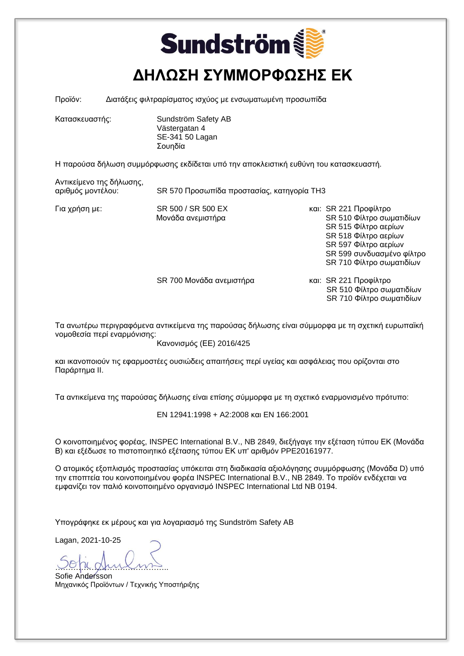### **Sundström ΔΗΛΩΣΗ ΣΥΜΜΟΡΦΩΣΗΣ ΕΚ**

Προϊόν: Διατάξεις φιλτραρίσματος ισχύος με ενσωματωμένη προσωπίδα

Κατασκευαστής: Sundström Safety AB Västergatan 4 SE-341 50 Lagan Σουηδία

Η παρούσα δήλωση συμμόρφωσης εκδίδεται υπό την αποκλειστική ευθύνη του κατασκευαστή.

Αντικείμενο της δήλωσης,

αριθμός μοντέλου: SR 570 Προσωπίδα προστασίας, κατηγορία TH3

Για χρήση με: SR 500 / SR 500 EX και: SR 221 Προφίλτρο<br>Μονάδα ανεμιστήρα και: SR 510 Φίλτρο σωμ

SR 510 Φίλτρο σωματιδίων SR 515 Φίλτρο αερίων SR 518 Φίλτρο αερίων SR 597 Φίλτρο αερίων SR 599 συνδυασμένο φίλτρο SR 710 Φίλτρο σωματιδίων

SR 700 Μονάδα ανεμιστήρα και: SR 221 Προφίλτρο

 SR 510 Φίλτρο σωματιδίων SR 710 Φίλτρο σωματιδίων

Τα ανωτέρω περιγραφόμενα αντικείμενα της παρούσας δήλωσης είναι σύμμορφα με τη σχετική ευρωπαϊκή νομοθεσία περί εναρμόνισης:

Κανονισμός (ΕΕ) 2016/425

και ικανοποιούν τις εφαρμοστέες ουσιώδεις απαιτήσεις περί υγείας και ασφάλειας που ορίζονται στο Παράρτημα II.

Τα αντικείμενα της παρούσας δήλωσης είναι επίσης σύμμορφα με τη σχετικό εναρμονισμένο πρότυπο:

EN 12941:1998 + A2:2008 και EN 166:2001

Ο κοινοποιημένος φορέας, INSPEC International B.V., NB 2849, διεξήγαγε την εξέταση τύπου ΕΚ (Μονάδα Β) και εξέδωσε το πιστοποιητικό εξέτασης τύπου ΕΚ υπ' αριθμόν PPE20161977.

Ο ατομικός εξοπλισμός προστασίας υπόκειται στη διαδικασία αξιολόγησης συμμόρφωσης (Μονάδα D) υπό την εποπτεία του κοινοποιημένου φορέα INSPEC International B.V., NB 2849. Το προϊόν ενδέχεται να εμφανίζει τον παλιό κοινοποιημένο οργανισμό INSPEC International Ltd NB 0194.

Υπογράφηκε εκ μέρους και για λογαριασμό της Sundström Safety AB

<u>voja gruiomis</u>

Sofie Andersson Μηχανικός Προϊόντων / Τεχνικής Υποστήριξης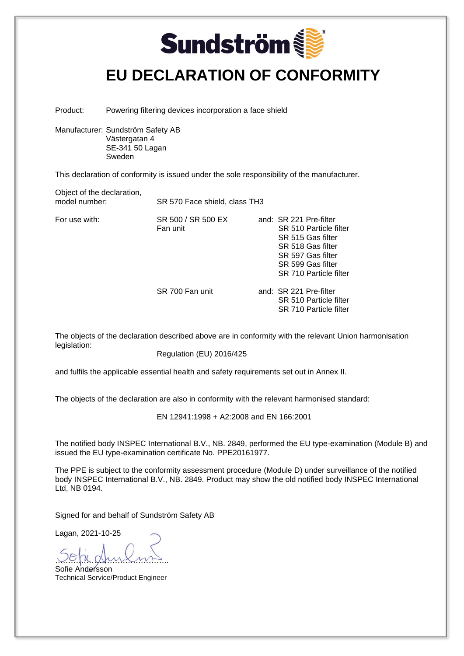### **Sundström EU DECLARATION OF CONFORMITY**

Product: Powering filtering devices incorporation a face shield

Manufacturer: Sundström Safety AB Västergatan 4 SE-341 50 Lagan Sweden

This declaration of conformity is issued under the sole responsibility of the manufacturer.

Object of the declaration,<br>model number:

SR 570 Face shield, class TH3

For use with:  $SR 500 / SR 500 EX$ 

Fan unit

| and:  SR 221 Pre-filter |
|-------------------------|
| SR 510 Particle filter  |
| SR 515 Gas filter       |
| SR 518 Gas filter       |
| SR 597 Gas filter       |
| SR 599 Gas filter       |
| SR 710 Particle filter  |
|                         |

SR 700 Fan unit and: SR 221 Pre-filter SR 510 Particle filter SR 710 Particle filter

The objects of the declaration described above are in conformity with the relevant Union harmonisation legislation:

Regulation (EU) 2016/425

and fulfils the applicable essential health and safety requirements set out in Annex II.

The objects of the declaration are also in conformity with the relevant harmonised standard:

EN 12941:1998 + A2:2008 and EN 166:2001

The notified body INSPEC International B.V., NB. 2849, performed the EU type-examination (Module B) and issued the EU type-examination certificate No. PPE20161977.

The PPE is subject to the conformity assessment procedure (Module D) under surveillance of the notified body INSPEC International B.V., NB. 2849. Product may show the old notified body INSPEC International Ltd, NB 0194.

Signed for and behalf of Sundström Safety AB

<u>voja gruiomis</u>

Sofie Andersson Technical Service/Product Engineer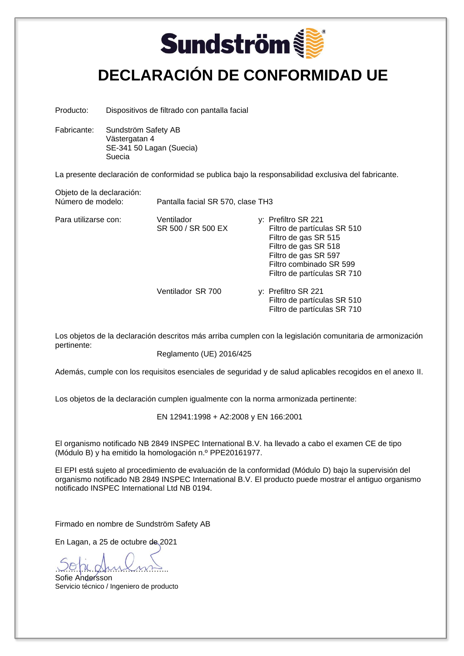### **Sundström DECLARACIÓN DE CONFORMIDAD UE**

Producto: Dispositivos de filtrado con pantalla facial

Fabricante: Sundström Safety AB Västergatan 4 SE-341 50 Lagan (Suecia) Suecia

La presente declaración de conformidad se publica bajo la responsabilidad exclusiva del fabricante.

Objeto de la declaración:<br>Número de modelo:

Pantalla facial SR 570, clase TH3

Para utilizarse con: Ventilador *y*: Prefiltro SR 221<br>SR 500 / SR 500 EX Filtro de partícul

- Filtro de partículas SR 510 Filtro de gas SR 515 Filtro de gas SR 518 Filtro de gas SR 597 Filtro combinado SR 599 Filtro de partículas SR 710
- Ventilador SR 700 y: Prefiltro SR 221 Filtro de partículas SR 510 Filtro de partículas SR 710

Los objetos de la declaración descritos más arriba cumplen con la legislación comunitaria de armonización pertinente:

Reglamento (UE) 2016/425

Además, cumple con los requisitos esenciales de seguridad y de salud aplicables recogidos en el anexo II.

Los objetos de la declaración cumplen igualmente con la norma armonizada pertinente:

EN 12941:1998 + A2:2008 y EN 166:2001

El organismo notificado NB 2849 INSPEC International B.V. ha llevado a cabo el examen CE de tipo (Módulo B) y ha emitido la homologación n.º PPE20161977.

El EPI está sujeto al procedimiento de evaluación de la conformidad (Módulo D) bajo la supervisión del organismo notificado NB 2849 INSPEC International B.V. El producto puede mostrar el antiguo organismo notificado INSPEC International Ltd NB 0194.

Firmado en nombre de Sundström Safety AB

En Lagan, a 25 de octubre de 2021

<u>voja gruioms</u>

Sofie Andersson Servicio técnico / Ingeniero de producto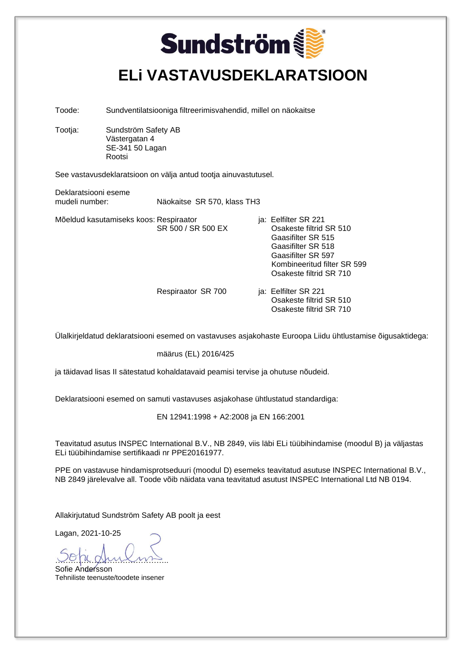### **Sundström ELi VASTAVUSDEKLARATSIOON**

Toode: Sundventilatsiooniga filtreerimisvahendid, millel on näokaitse

Tootja: Sundström Safety AB Västergatan 4 SE-341 50 Lagan Rootsi

See vastavusdeklaratsioon on välja antud tootja ainuvastutusel.

Deklaratsiooni eseme<br>mudeli number: Näokaitse SR 570, klass TH3

Mõeldud kasutamiseks koos: Respiraator ist vallister SR 221

SR 500 / SR 500 EX Osakeste filtrid SR 510 Gaasifilter SR 515 Gaasifilter SR 518 Gaasifilter SR 597 Kombineeritud filter SR 599 Osakeste filtrid SR 710

Respiraator SR 700 ja: Eelfilter SR 221 Osakeste filtrid SR 510 Osakeste filtrid SR 710

Ülalkirjeldatud deklaratsiooni esemed on vastavuses asjakohaste Euroopa Liidu ühtlustamise õigusaktidega:

määrus (EL) 2016/425

ja täidavad lisas II sätestatud kohaldatavaid peamisi tervise ja ohutuse nõudeid.

Deklaratsiooni esemed on samuti vastavuses asjakohase ühtlustatud standardiga:

EN 12941:1998 + A2:2008 ja EN 166:2001

Teavitatud asutus INSPEC International B.V., NB 2849, viis läbi ELi tüübihindamise (moodul B) ja väljastas ELi tüübihindamise sertifikaadi nr PPE20161977.

PPE on vastavuse hindamisprotseduuri (moodul D) esemeks teavitatud asutuse INSPEC International B.V., NB 2849 järelevalve all. Toode võib näidata vana teavitatud asutust INSPEC International Ltd NB 0194.

Allakirjutatud Sundström Safety AB poolt ja eest

<u>voja gruiomis</u>

Sofie Andersson Tehniliste teenuste/toodete insener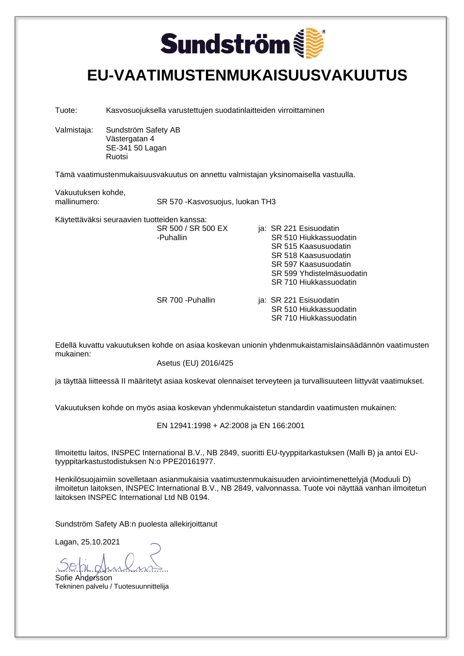

#### **EU-VAATIMUSTENMUKAISUUSVAKUUTUS**

Tuote: Kasvosuojuksella varustettujen suodatinlaitteiden virroittaminen

Valmistaja: Sundström Safety AB Västergatan 4 SE-341 50 Lagan Ruotsi

Tämä vaatimustenmukaisuusvakuutus on annettu valmistajan yksinomaisella vastuulla.

Vakuutuksen kohde,<br>mallinumero:

SR 570 -Kasvosuojus, luokan TH3

Käytettäväksi seuraavien tuotteiden kanssa:<br>SR 500 / SR 500 FX

| -Puhallin         | SR 510 Hiukkassuodatin    |
|-------------------|---------------------------|
|                   | SR 515 Kaasusuodatin      |
|                   | SR 518 Kaasusuodatin      |
|                   | SR 597 Kaasusuodatin      |
|                   | SR 599 Yhdistelmäsuodatin |
|                   | SR 710 Hiukkassuodatin    |
| SR 700 - Puhallin | ja: SR 221 Esisuodatin    |
|                   | SR 510 Hiukkassuodatin    |
|                   | SR 710 Hiukkassuodatin    |

Edellä kuvattu vakuutuksen kohde on asiaa koskevan unionin yhdenmukaistamislainsäädännön vaatimusten mukainen:

ia: SR 221 Esisuodatin

Asetus (EU) 2016/425

ja täyttää liitteessä II määritetyt asiaa koskevat olennaiset terveyteen ja turvallisuuteen liittyvät vaatimukset.

Vakuutuksen kohde on myös asiaa koskevan yhdenmukaistetun standardin vaatimusten mukainen:

EN 12941:1998 + A2:2008 ja EN 166:2001

Ilmoitettu laitos, INSPEC International B.V., NB 2849, suoritti EU-tyyppitarkastuksen (Malli B) ja antoi EUtyyppitarkastustodistuksen N:o PPE20161977.

Henkilösuojaimiin sovelletaan asianmukaisia vaatimustenmukaisuuden arviointimenettelyjä (Moduuli D) ilmoitetun laitoksen, INSPEC International B.V., NB 2849, valvonnassa. Tuote voi näyttää vanhan ilmoitetun laitoksen INSPEC International Ltd NB 0194.

Sundström Safety AB:n puolesta allekirjoittanut

Lagan, 25.10.2021

<u>voju grui ma</u>

Sofie Andersson Tekninen palvelu / Tuotesuunnittelija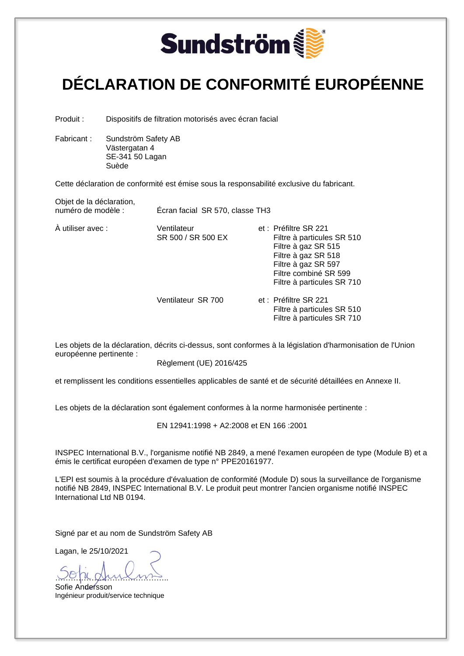

### **DÉCLARATION DE CONFORMITÉ EUROPÉENNE**

Produit : Dispositifs de filtration motorisés avec écran facial

Fabricant : Sundström Safety AB Västergatan 4 SE-341 50 Lagan Suède

Cette déclaration de conformité est émise sous la responsabilité exclusive du fabricant.

Objet de la déclaration,<br>numéro de modèle :

Écran facial SR 570, classe TH3

À utiliser avec : <br>SR 500 / SR 500 EX Filtre à particule SR 500 / SR 500 EX Filtre à particules SR 510 Filtre à gaz SR 515 Filtre à gaz SR 518 Filtre à gaz SR 597 Filtre combiné SR 599 Filtre à particules SR 710 Ventilateur SR 700 et : Préfiltre SR 221 Filtre à particules SR 510 Filtre à particules SR 710

Les objets de la déclaration, décrits ci-dessus, sont conformes à la législation d'harmonisation de l'Union européenne pertinente :

Règlement (UE) 2016/425

et remplissent les conditions essentielles applicables de santé et de sécurité détaillées en Annexe II.

Les objets de la déclaration sont également conformes à la norme harmonisée pertinente :

EN 12941:1998 + A2:2008 et EN 166 :2001

INSPEC International B.V., l'organisme notifié NB 2849, a mené l'examen européen de type (Module B) et a émis le certificat européen d'examen de type n° PPE20161977.

L'EPI est soumis à la procédure d'évaluation de conformité (Module D) sous la surveillance de l'organisme notifié NB 2849, INSPEC International B.V. Le produit peut montrer l'ancien organisme notifié INSPEC International Ltd NB 0194.

Signé par et au nom de Sundström Safety AB

Lagan, le 25/10/2021

…………………………………….. Sofie Andersson Ingénieur produit/service technique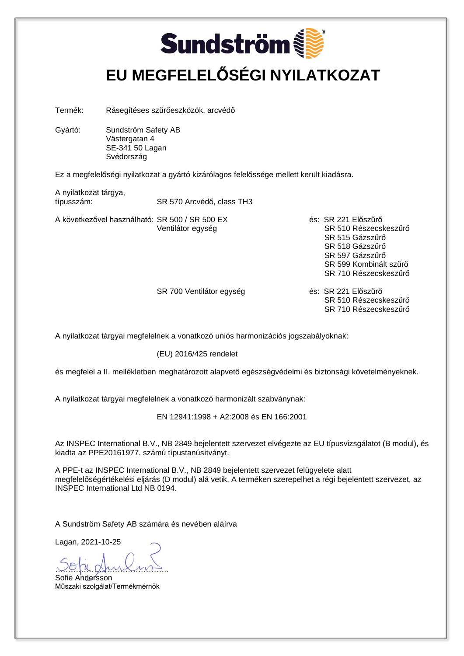### **Sundström EU MEGFELELŐSÉGI NYILATKOZAT**

Termék: Rásegítéses szűrőeszközök, arcvédő

Gyártó: Sundström Safety AB Västergatan 4 SE-341 50 Lagan Svédország

Ez a megfelelőségi nyilatkozat a gyártó kizárólagos felelőssége mellett került kiadásra.

A nyilatkozat tárgya, típusszám: SR 570 Arcvédő, class TH3

A következővel használható: SR 500 / SR 500 EX és: SR 221 Előszűrő

Ventilátor egység **SR 510 Részecskeszűrő**  SR 515 Gázszűrő SR 518 Gázszűrő SR 597 Gázszűrő SR 599 Kombinált szűrő SR 710 Részecskeszűrő

SR 700 Ventilátor egység és: SR 221 Előszűrő SR 510 Részecskeszűrő SR 710 Részecskeszűrő

A nyilatkozat tárgyai megfelelnek a vonatkozó uniós harmonizációs jogszabályoknak:

(EU) 2016/425 rendelet

és megfelel a II. mellékletben meghatározott alapvető egészségvédelmi és biztonsági követelményeknek.

A nyilatkozat tárgyai megfelelnek a vonatkozó harmonizált szabványnak:

EN 12941:1998 + A2:2008 és EN 166:2001

Az INSPEC International B.V., NB 2849 bejelentett szervezet elvégezte az EU típusvizsgálatot (B modul), és kiadta az PPE20161977. számú típustanúsítványt.

A PPE-t az INSPEC International B.V., NB 2849 bejelentett szervezet felügyelete alatt megfelelőségértékelési eljárás (D modul) alá vetik. A terméken szerepelhet a régi bejelentett szervezet, az INSPEC International Ltd NB 0194.

A Sundström Safety AB számára és nevében aláírva

<u>voja gruioms</u>

Sofie Andersson Műszaki szolgálat/Termékmérnök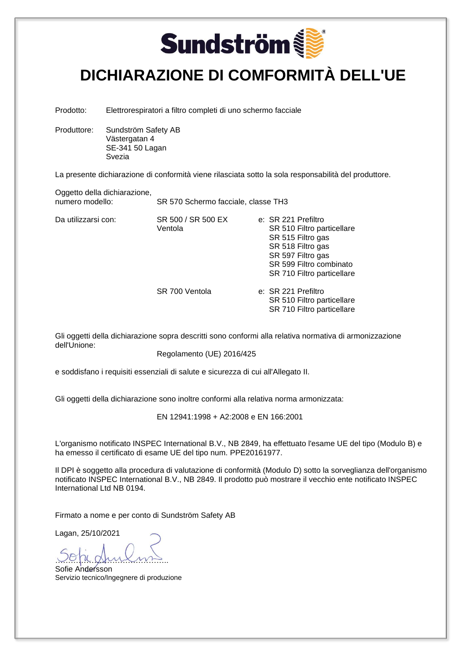# **Sundström**

#### **DICHIARAZIONE DI COMFORMITÀ DELL'UE**

Prodotto: Elettrorespiratori a filtro completi di uno schermo facciale

Produttore: Sundström Safety AB Västergatan 4 SE-341 50 Lagan Svezia

La presente dichiarazione di conformità viene rilasciata sotto la sola responsabilità del produttore.

Oggetto della dichiarazione,<br>numero modello:

Da utilizzarsi con: SR 500 / SR 500 EX

SR 570 Schermo facciale, classe TH3

Ventola

|  |  | e: SR 221 Prefiltro        |
|--|--|----------------------------|
|  |  | SR 510 Filtro particellare |
|  |  | SR 515 Filtro gas          |
|  |  | SR 518 Filtro gas          |
|  |  | SR 597 Filtro gas          |
|  |  | SR 599 Filtro combinato    |
|  |  | SR 710 Filtro particellare |
|  |  |                            |
|  |  | e: SR 221 Prefiltro        |
|  |  | SR 510 Filtro particellare |
|  |  | SR 710 Filtro particellare |

Gli oggetti della dichiarazione sopra descritti sono conformi alla relativa normativa di armonizzazione dell'Unione:

Regolamento (UE) 2016/425

e soddisfano i requisiti essenziali di salute e sicurezza di cui all'Allegato II.

SR 700 Ventola

Gli oggetti della dichiarazione sono inoltre conformi alla relativa norma armonizzata:

EN 12941:1998 + A2:2008 e EN 166:2001

L'organismo notificato INSPEC International B.V., NB 2849, ha effettuato l'esame UE del tipo (Modulo B) e ha emesso il certificato di esame UE del tipo num. PPE20161977.

Il DPI è soggetto alla procedura di valutazione di conformità (Modulo D) sotto la sorveglianza dell'organismo notificato INSPEC International B.V., NB 2849. Il prodotto può mostrare il vecchio ente notificato INSPEC International Ltd NB 0194.

Firmato a nome e per conto di Sundström Safety AB

Lagan, 25/10/2021

<u>voja gruiomis</u>

Sofie Andersson Servizio tecnico/Ingegnere di produzione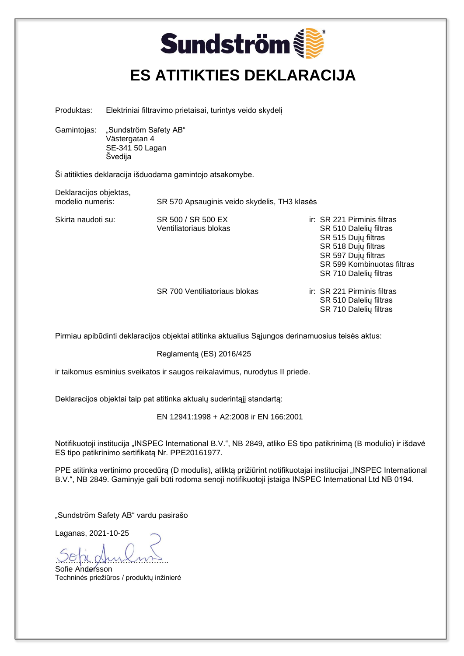### **Sundström ES ATITIKTIES DEKLARACIJA**

Produktas: Elektriniai filtravimo prietaisai, turintys veido skydelį

Gamintojas: "Sundström Safety AB" Västergatan 4 SE-341 50 Lagan Švedija

Ši atitikties deklaracija išduodama gamintojo atsakomybe.

Deklaracijos objektas,<br>modelio numeris:

SR 570 Apsauginis veido skydelis, TH3 klasės

Skirta naudoti su: SR 500 / SR 500 EX in: SR 221 Pirminis filtras Ventiliatoriaus blokas SR 510 Dalelių filtras SR 515 Dujų filtras SR 518 Dujų filtras SR 597 Dujų filtras SR 599 Kombinuotas filtras SR 710 Dalelių filtras

SR 700 Ventiliatoriaus blokas ir: SR 221 Pirminis filtras

 SR 510 Dalelių filtras SR 710 Dalelių filtras

Pirmiau apibūdinti deklaracijos objektai atitinka aktualius Sąjungos derinamuosius teisės aktus:

Reglamentą (ES) 2016/425

ir taikomus esminius sveikatos ir saugos reikalavimus, nurodytus II priede.

Deklaracijos objektai taip pat atitinka aktualų suderintąjį standartą:

EN 12941:1998 + A2:2008 ir EN 166:2001

Notifikuotoji institucija "INSPEC International B.V.", NB 2849, atliko ES tipo patikrinimą (B modulio) ir išdavė ES tipo patikrinimo sertifikatą Nr. PPE20161977.

PPE atitinka vertinimo procedūrą (D modulis), atliktą prižiūrint notifikuotajai institucijai "INSPEC International B.V.", NB 2849. Gaminyje gali būti rodoma senoji notifikuotoji įstaiga INSPEC International Ltd NB 0194.

"Sundström Safety AB" vardu pasirašo

Laganas, 2021-10-25

<u>voja gruiomis</u>

Sofie Andersson Techninės priežiūros / produktų inžinierė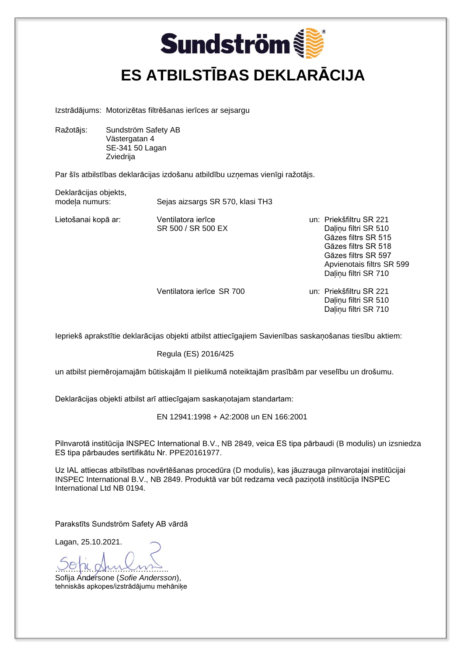### **Sundström ES ATBILSTĪBAS DEKLARĀCIJA**

Izstrādājums: Motorizētas filtrēšanas ierīces ar sejsargu

Ražotājs: Sundström Safety AB Västergatan 4 SE-341 50 Lagan Zviedrija

Par šīs atbilstības deklarācijas izdošanu atbildību uzņemas vienīgi ražotājs.

Deklarācijas objekts,

modeļa numurs: Sejas aizsargs SR 570, klasi TH3

Lietošanai kopā ar: Ventilatora ierīce veidas vair. Priekšfiltru SR 221 SR 500 / SR 500 EX Dalinu filtri SR 510 Gāzes filtrs SR 515 Gāzes filtrs SR 518 Gāzes filtrs SR 597 Apvienotais filtrs SR 599 Dalinu filtri SR 710

Ventilatora ierīce SR 700 ventilatora ierīce SR 700

 Daļiņu filtri SR 510 Daļiņu filtri SR 710

Iepriekš aprakstītie deklarācijas objekti atbilst attiecīgajiem Savienības saskaņošanas tiesību aktiem:

Regula (ES) 2016/425

un atbilst piemērojamajām būtiskajām II pielikumā noteiktajām prasībām par veselību un drošumu.

Deklarācijas objekti atbilst arī attiecīgajam saskaņotajam standartam:

EN 12941:1998 + A2:2008 un EN 166:2001

Pilnvarotā institūcija INSPEC International B.V., NB 2849, veica ES tipa pārbaudi (B modulis) un izsniedza ES tipa pārbaudes sertifikātu Nr. PPE20161977.

Uz IAL attiecas atbilstības novērtēšanas procedūra (D modulis), kas jāuzrauga pilnvarotajai institūcijai INSPEC International B.V., NB 2849. Produktā var būt redzama vecā paziņotā institūcija INSPEC International Ltd NB 0194.

Parakstīts Sundström Safety AB vārdā

Lagan, 25.10.2021.

<u>uppe</u> Sofija Andersone (*Sofie Andersson*), tehniskās apkopes/izstrādājumu mehāniķe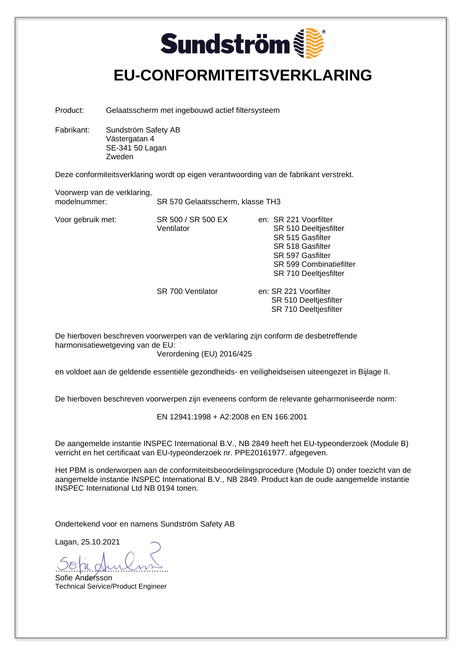### **Sundström EU-CONFORMITEITSVERKLARING**

Product: Gelaatsscherm met ingebouwd actief filtersysteem

Fabrikant: Sundström Safety AB Västergatan 4 SE-341 50 Lagan Zweden

Deze conformiteitsverklaring wordt op eigen verantwoording van de fabrikant verstrekt.

Voorwerp van de verklaring, SR 570 Gelaatsscherm, klasse TH3

Voor gebruik met: SR 500 / SR 500 EX en: SR 221 Voorfilter Ventilator SR 510 Deeltjesfilter SR 515 Gasfilter SR 518 Gasfilter SR 597 Gasfilter SR 599 Combinatiefilter SR 710 Deeltjesfilter

SR 700 Ventilator en: SR 221 Voorfilter SR 510 Deeltjesfilter SR 710 Deeltjesfilter

De hierboven beschreven voorwerpen van de verklaring zijn conform de desbetreffende harmonisatiewetgeving van de EU:

Verordening (EU) 2016/425

en voldoet aan de geldende essentiële gezondheids- en veiligheidseisen uiteengezet in Bijlage II.

De hierboven beschreven voorwerpen zijn eveneens conform de relevante geharmoniseerde norm:

EN 12941:1998 + A2:2008 en EN 166:2001

De aangemelde instantie INSPEC International B.V., NB 2849 heeft het EU-typeonderzoek (Module B) verricht en het certificaat van EU-typeonderzoek nr. PPE20161977. afgegeven.

Het PBM is onderworpen aan de conformiteitsbeoordelingsprocedure (Module D) onder toezicht van de aangemelde instantie INSPEC International B.V., NB 2849. Product kan de oude aangemelde instantie INSPEC International Ltd NB 0194 tonen.

Ondertekend voor en namens Sundström Safety AB

Lagan, 25.10.2021

<u>uppe</u> Sofie Andersson

Technical Service/Product Engineer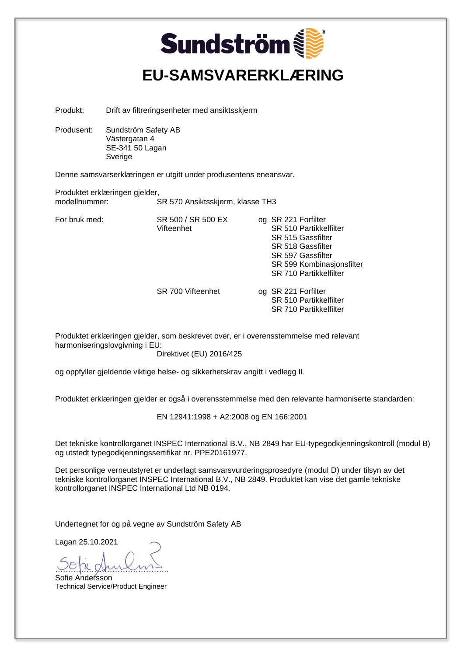| <b>Sundström</b>                                                                                                                                                                                                                                               |                                                                    |                                                                              |  |                                                                                                                                                                     |
|----------------------------------------------------------------------------------------------------------------------------------------------------------------------------------------------------------------------------------------------------------------|--------------------------------------------------------------------|------------------------------------------------------------------------------|--|---------------------------------------------------------------------------------------------------------------------------------------------------------------------|
|                                                                                                                                                                                                                                                                |                                                                    | <b>EU-SAMSVARERKLÆRING</b>                                                   |  |                                                                                                                                                                     |
| Produkt:                                                                                                                                                                                                                                                       |                                                                    | Drift av filtreringsenheter med ansiktsskjerm                                |  |                                                                                                                                                                     |
| Produsent:                                                                                                                                                                                                                                                     | Sundström Safety AB<br>Västergatan 4<br>SE-341 50 Lagan<br>Sverige |                                                                              |  |                                                                                                                                                                     |
|                                                                                                                                                                                                                                                                |                                                                    | Denne samsvarserklæringen er utgitt under produsentens eneansvar.            |  |                                                                                                                                                                     |
| modellnummer:                                                                                                                                                                                                                                                  | Produktet erklæringen gjelder,                                     | SR 570 Ansiktsskjerm, klasse TH3                                             |  |                                                                                                                                                                     |
| For bruk med:                                                                                                                                                                                                                                                  |                                                                    | SR 500 / SR 500 EX<br>Vifteenhet                                             |  | og SR 221 Forfilter<br>SR 510 Partikkelfilter<br>SR 515 Gassfilter<br>SR 518 Gassfilter<br>SR 597 Gassfilter<br>SR 599 Kombinasjonsfilter<br>SR 710 Partikkelfilter |
|                                                                                                                                                                                                                                                                |                                                                    | SR 700 Vifteenhet                                                            |  | og SR 221 Forfilter<br>SR 510 Partikkelfilter<br>SR 710 Partikkelfilter                                                                                             |
|                                                                                                                                                                                                                                                                | harmoniseringslovgivning i EU:                                     | Direktivet (EU) 2016/425                                                     |  | Produktet erklæringen gjelder, som beskrevet over, er i overensstemmelse med relevant                                                                               |
|                                                                                                                                                                                                                                                                |                                                                    | og oppfyller gjeldende viktige helse- og sikkerhetskrav angitt i vedlegg II. |  |                                                                                                                                                                     |
|                                                                                                                                                                                                                                                                |                                                                    |                                                                              |  | Produktet erklæringen gjelder er også i overensstemmelse med den relevante harmoniserte standarden:                                                                 |
|                                                                                                                                                                                                                                                                |                                                                    | EN 12941:1998 + A2:2008 og EN 166:2001                                       |  |                                                                                                                                                                     |
| Det tekniske kontrollorganet INSPEC International B.V., NB 2849 har EU-typegodkjenningskontroll (modul B)<br>og utstedt typegodkjenningssertifikat nr. PPE20161977.                                                                                            |                                                                    |                                                                              |  |                                                                                                                                                                     |
| Det personlige verneutstyret er underlagt samsvarsvurderingsprosedyre (modul D) under tilsyn av det<br>tekniske kontrollorganet INSPEC International B.V., NB 2849. Produktet kan vise det gamle tekniske<br>kontrollorganet INSPEC International Ltd NB 0194. |                                                                    |                                                                              |  |                                                                                                                                                                     |
| Undertegnet for og på vegne av Sundström Safety AB                                                                                                                                                                                                             |                                                                    |                                                                              |  |                                                                                                                                                                     |
| Lagan 25.10.2021<br>Sofie Andersson                                                                                                                                                                                                                            |                                                                    |                                                                              |  |                                                                                                                                                                     |

Technical Service/Product Engineer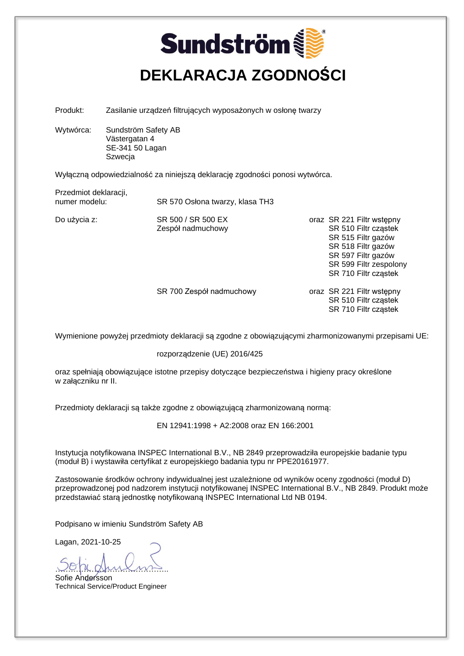### **Sundström DEKLARACJA ZGODNOŚCI**

Produkt: Zasilanie urządzeń filtrujących wyposażonych w osłonę twarzy

Wytwórca: Sundström Safety AB Västergatan 4 SE-341 50 Lagan Szwecja

Wyłączną odpowiedzialność za niniejszą deklarację zgodności ponosi wytwórca.

Przedmiot deklaracji,<br>numer modelu:

SR 570 Osłona twarzy, klasa TH3

Do użycia z: SR 500 / SR 500 EX oraz SR 221 Filtr wstępny Zespół nadmuchowy SR 510 Filtr cząstek SR 515 Filtr gazów SR 518 Filtr gazów SR 597 Filtr gazów SR 599 Filtr zespolony SR 710 Filtr cząstek

> SR 700 Zespół nadmuchowy oraz SR 221 Filtr wstępny SR 510 Filtr cząstek SR 710 Filtr cząstek

Wymienione powyżej przedmioty deklaracji są zgodne z obowiązującymi zharmonizowanymi przepisami UE:

#### rozporządzenie (UE) 2016/425

oraz spełniają obowiązujące istotne przepisy dotyczące bezpieczeństwa i higieny pracy określone w załączniku nr II.

Przedmioty deklaracji są także zgodne z obowiązującą zharmonizowaną normą:

EN 12941:1998 + A2:2008 oraz EN 166:2001

Instytucja notyfikowana INSPEC International B.V., NB 2849 przeprowadziła europejskie badanie typu (moduł B) i wystawiła certyfikat z europejskiego badania typu nr PPE20161977.

Zastosowanie środków ochrony indywidualnej jest uzależnione od wyników oceny zgodności (moduł D) przeprowadzonej pod nadzorem instytucji notyfikowanej INSPEC International B.V., NB 2849. Produkt może przedstawiać starą jednostkę notyfikowaną INSPEC International Ltd NB 0194.

Podpisano w imieniu Sundström Safety AB

<u>voja gruioms</u>

Sofie Andersson Technical Service/Product Engineer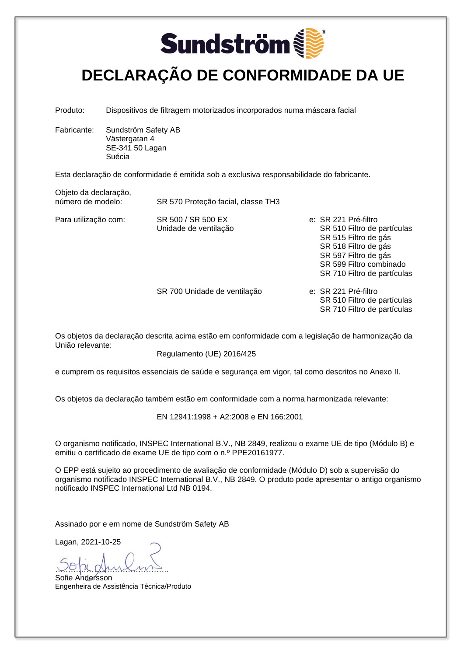

#### **DECLARAÇÃO DE CONFORMIDADE DA UE**

Produto: Dispositivos de filtragem motorizados incorporados numa máscara facial

Fabricante: Sundström Safety AB Västergatan 4 SE-341 50 Lagan Suécia

Esta declaração de conformidade é emitida sob a exclusiva responsabilidade do fabricante.

Objeto da declaração,<br>número de modelo:

SR 570 Proteção facial, classe TH3

Para utilização com: SR 500 / SR 500 EX e: SR 221 Pré-filtro Unidade de ventilação SR 510 Filtro de partículas SR 515 Filtro de gás SR 518 Filtro de gás SR 597 Filtro de gás SR 599 Filtro combinado SR 710 Filtro de partículas

SR 700 Unidade de ventilação e: SR 221 Pré-filtro

 SR 510 Filtro de partículas SR 710 Filtro de partículas

Os objetos da declaração descrita acima estão em conformidade com a legislação de harmonização da União relevante:

Regulamento (UE) 2016/425

e cumprem os requisitos essenciais de saúde e segurança em vigor, tal como descritos no Anexo II.

Os objetos da declaração também estão em conformidade com a norma harmonizada relevante:

EN 12941:1998 + A2:2008 e EN 166:2001

O organismo notificado, INSPEC International B.V., NB 2849, realizou o exame UE de tipo (Módulo B) e emitiu o certificado de exame UE de tipo com o n.º PPE20161977.

O EPP está sujeito ao procedimento de avaliação de conformidade (Módulo D) sob a supervisão do organismo notificado INSPEC International B.V., NB 2849. O produto pode apresentar o antigo organismo notificado INSPEC International Ltd NB 0194.

Assinado por e em nome de Sundström Safety AB

<u>voja gruioms</u>

Sofie Andersson Engenheira de Assistência Técnica/Produto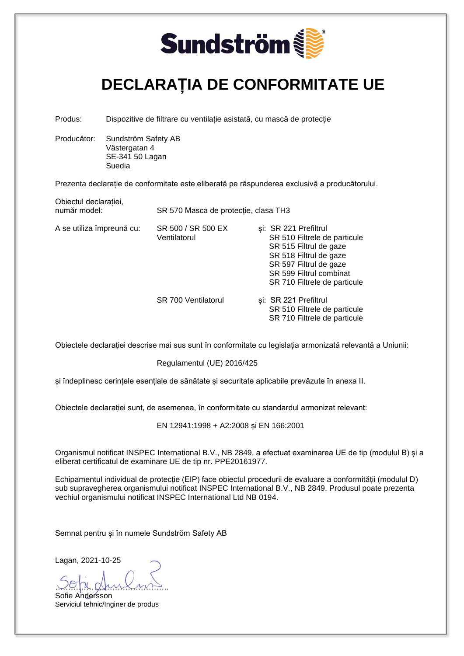

#### **DECLARAȚIA DE CONFORMITATE UE**

Produs: Dispozitive de filtrare cu ventilație asistată, cu mască de protecție

Producător: Sundström Safety AB Västergatan 4 SE-341 50 Lagan Suedia

Obiectul declarației,

Prezenta declarație de conformitate este eliberată pe răspunderea exclusivă a producătorului.

| ODIECIUI UECIAL ALIEI,<br>număr model: | SR 570 Masca de protecție, clasa TH3 |                                                                                                                                                                                                |  |
|----------------------------------------|--------------------------------------|------------------------------------------------------------------------------------------------------------------------------------------------------------------------------------------------|--|
| A se utiliza împreună cu:              | SR 500 / SR 500 EX<br>Ventilatorul   | si: SR 221 Prefiltrul<br>SR 510 Filtrele de particule<br>SR 515 Filtrul de gaze<br>SR 518 Filtrul de gaze<br>SR 597 Filtrul de gaze<br>SR 599 Filtrul combinat<br>SR 710 Filtrele de particule |  |
|                                        | <b>SR 700 Ventilatorul</b>           | si: SR 221 Prefiltrul<br>SR 510 Filtrele de particule<br>SR 710 Filtrele de particule                                                                                                          |  |

Obiectele declarației descrise mai sus sunt în conformitate cu legislația armonizată relevantă a Uniunii:

Regulamentul (UE) 2016/425

și îndeplinesc cerințele esențiale de sănătate și securitate aplicabile prevăzute în anexa II.

Obiectele declarației sunt, de asemenea, în conformitate cu standardul armonizat relevant:

EN 12941:1998 + A2:2008 și EN 166:2001

Organismul notificat INSPEC International B.V., NB 2849, a efectuat examinarea UE de tip (modulul B) și a eliberat certificatul de examinare UE de tip nr. PPE20161977.

Echipamentul individual de protecție (EIP) face obiectul procedurii de evaluare a conformității (modulul D) sub supravegherea organismului notificat INSPEC International B.V., NB 2849. Produsul poate prezenta vechiul organismului notificat INSPEC International Ltd NB 0194.

Semnat pentru și în numele Sundström Safety AB

<u>voja gruioms</u>

Sofie Andersson Serviciul tehnic/Inginer de produs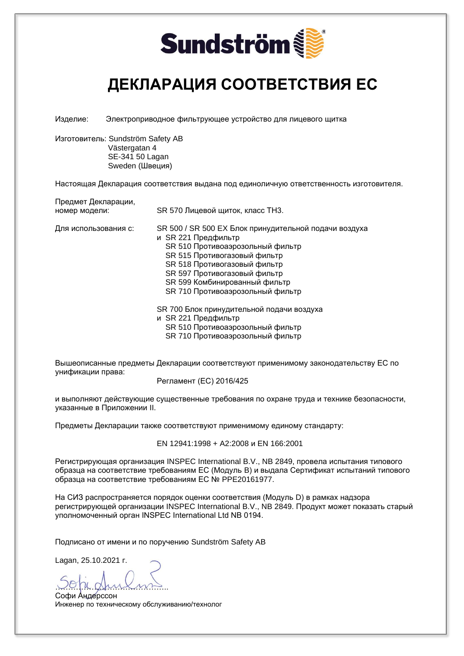

#### **ДЕКЛАРАЦИЯ СООТВЕТСТВИЯ ЕС**

Изделие: Электроприводное фильтрующее устройство для лицевого щитка

Изготовитель: Sundström Safety AB Västergatan 4 SE-341 50 Lagan Sweden (Швеция)

Настоящая Декларация соответствия выдана под единоличную ответственность изготовителя.

Предмет Декларации, номер модели: SR 570 Лицевой щиток, класс TH3.

Для использования с: SR 500 / SR 500 EX Блок принудительной подачи воздуха и SR 221 Предфильтр SR 510 Противоаэрозольный фильтр SR 515 Противогазовый фильтр SR 518 Противогазовый фильтр SR 597 Противогазовый фильтр SR 599 Комбинированный фильтр SR 710 Противоаэрозольный фильтр

SR 700 Блок принудительной подачи воздуха

- и SR 221 Предфильтр
	- SR 510 Противоаэрозольный фильтр

SR 710 Противоаэрозольный фильтр

Вышеописанные предметы Декларации соответствуют применимому законодательству ЕС по унификации права:

Регламент (ЕС) 2016/425

и выполняют действующие существенные требования по охране труда и технике безопасности, указанные в Приложении II.

Предметы Декларации также соответствуют применимому единому стандарту:

EN 12941:1998 + A2:2008 и EN 166:2001

Регистрирующая организация INSPEC International B.V., NB 2849, провела испытания типового образца на соответствие требованиям ЕС (Модуль B) и выдала Сертификат испытаний типового образца на соответствие требованиям ЕС № PPE20161977.

На СИЗ распространяется порядок оценки соответствия (Модуль D) в рамках надзора регистрирующей организации INSPEC International B.V., NB 2849. Продукт может показать старый уполномоченный орган INSPEC International Ltd NB 0194.

Подписано от имени и по поручению Sundström Safety AB

Lagan, 25.10.2021 г.

<u>voja gruioms</u>

Софи Андерссон Инженер по техническому обслуживанию/технолог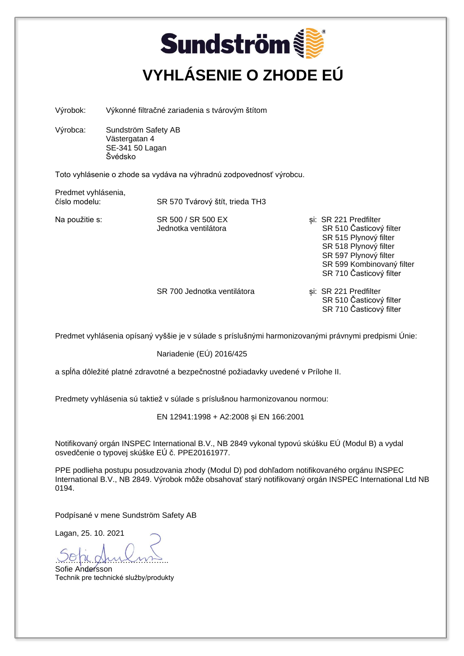## **Sundström VYHLÁSENIE O ZHODE EÚ**

Výrobok: Výkonné filtračné zariadenia s tvárovým štítom

Výrobca: Sundström Safety AB Västergatan 4 SE-341 50 Lagan Švédsko

Toto vyhlásenie o zhode sa vydáva na výhradnú zodpovednosť výrobcu.

Predmet vyhlásenia,<br>číslo modelu:

SR 570 Tvárový štít, trieda TH3

- Na použitie s: SR 500 / SR 500 EX si: SR 221 Predfilter Jednotka ventilátora **SR 510 Časticový filter**  SR 515 Plynový filter SR 518 Plynový filter SR 597 Plynový filter SR 599 Kombinovaný filter SR 710 Časticový filter
	- SR 700 Jednotka ventilátora <br>
	si: SR 221 Predfilter SR 510 Časticový filter SR 710 Časticový filter

Predmet vyhlásenia opísaný vyššie je v súlade s príslušnými harmonizovanými právnymi predpismi Únie:

Nariadenie (EÚ) 2016/425

a spĺňa dôležité platné zdravotné a bezpečnostné požiadavky uvedené v Prílohe II.

Predmety vyhlásenia sú taktiež v súlade s príslušnou harmonizovanou normou:

EN 12941:1998 + A2:2008 și EN 166:2001

Notifikovaný orgán INSPEC International B.V., NB 2849 vykonal typovú skúšku EÚ (Modul B) a vydal osvedčenie o typovej skúške EÚ č. PPE20161977.

PPE podlieha postupu posudzovania zhody (Modul D) pod dohľadom notifikovaného orgánu INSPEC International B.V., NB 2849. Výrobok môže obsahovať starý notifikovaný orgán INSPEC International Ltd NB 0194.

Podpísané v mene Sundström Safety AB

Lagan, 25. 10. 2021

<u>voja gruiomis</u>

Sofie Andersson Technik pre technické služby/produkty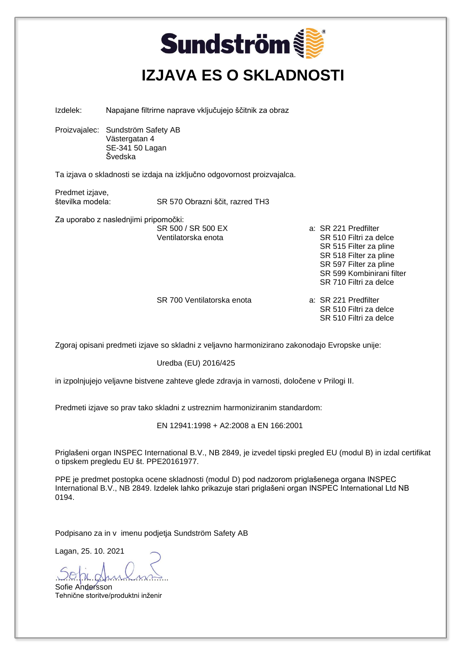| <b>Sundström</b><br><b>IZJAVA ES O SKLADNOSTI</b>                                             |                                                                                  |                                                                         |                                                                                                                                                                                     |  |
|-----------------------------------------------------------------------------------------------|----------------------------------------------------------------------------------|-------------------------------------------------------------------------|-------------------------------------------------------------------------------------------------------------------------------------------------------------------------------------|--|
| Izdelek:                                                                                      |                                                                                  | Napajane filtrirne naprave vključujejo ščitnik za obraz                 |                                                                                                                                                                                     |  |
|                                                                                               | Proizvajalec: Sundström Safety AB<br>Västergatan 4<br>SE-341 50 Lagan<br>Švedska |                                                                         |                                                                                                                                                                                     |  |
|                                                                                               |                                                                                  | Ta izjava o skladnosti se izdaja na izključno odgovornost proizvajalca. |                                                                                                                                                                                     |  |
| Predmet izjave,<br>številka modela:<br>SR 570 Obrazni ščit, razred TH3                        |                                                                                  |                                                                         |                                                                                                                                                                                     |  |
|                                                                                               | Za uporabo z naslednjimi pripomočki:                                             | SR 500 / SR 500 EX<br>Ventilatorska enota                               | a: SR 221 Predfilter<br>SR 510 Filtri za delce<br>SR 515 Filter za pline<br>SR 518 Filter za pline<br>SR 597 Filter za pline<br>SR 599 Kombinirani filter<br>SR 710 Filtri za delce |  |
|                                                                                               |                                                                                  | SR 700 Ventilatorska enota                                              | a: SR 221 Predfilter<br>SR 510 Filtri za delce<br>SR 510 Filtri za delce                                                                                                            |  |
| Zgoraj opisani predmeti izjave so skladni z veljavno harmonizirano zakonodajo Evropske unije: |                                                                                  |                                                                         |                                                                                                                                                                                     |  |
|                                                                                               | Uredba (EU) 2016/425                                                             |                                                                         |                                                                                                                                                                                     |  |
| in izpolnjujejo veljavne bistvene zahteve glede zdravja in varnosti, določene v Prilogi II.   |                                                                                  |                                                                         |                                                                                                                                                                                     |  |
| Predmeti izjave so prav tako skladni z ustreznim harmoniziranim standardom:                   |                                                                                  |                                                                         |                                                                                                                                                                                     |  |
| EN 12941:1998 + A2:2008 a EN 166:2001                                                         |                                                                                  |                                                                         |                                                                                                                                                                                     |  |

Priglašeni organ INSPEC International B.V., NB 2849, je izvedel tipski pregled EU (modul B) in izdal certifikat o tipskem pregledu EU št. PPE20161977.

PPE je predmet postopka ocene skladnosti (modul D) pod nadzorom priglašenega organa INSPEC International B.V., NB 2849. Izdelek lahko prikazuje stari priglašeni organ INSPEC International Ltd NB 0194.

Podpisano za in v imenu podjetja Sundström Safety AB

Lagan, 25. 10. 2021

re dhu Sofie Andersson Tehnične storitve/produktni inženir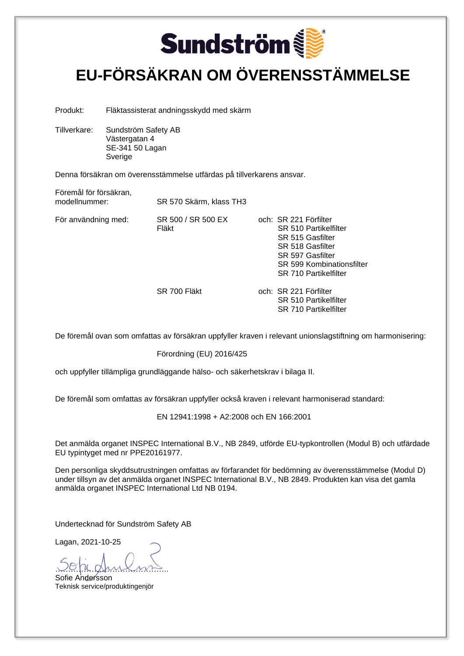

#### **EU-FÖRSÄKRAN OM ÖVERENSSTÄMMELSE**

Produkt: Fläktassisterat andningsskydd med skärm

Tillverkare: Sundström Safety AB Västergatan 4 SE-341 50 Lagan Sverige

Denna försäkran om överensstämmelse utfärdas på tillverkarens ansvar.

Föremål för försäkran, SR 570 Skärm, klass TH3 För användning med: SR 500 / SR 500 EX och: SR 221 Förfilter Fläkt SR 510 Partikelfilter SR 515 Gasfilter SR 518 Gasfilter SR 597 Gasfilter SR 599 Kombinationsfilter SR 710 Partikelfilter

SR 700 Fläkt och: SR 221 Förfilter SR 510 Partikelfilter SR 710 Partikelfilter

De föremål ovan som omfattas av försäkran uppfyller kraven i relevant unionslagstiftning om harmonisering:

Förordning (EU) 2016/425

och uppfyller tillämpliga grundläggande hälso- och säkerhetskrav i bilaga II.

De föremål som omfattas av försäkran uppfyller också kraven i relevant harmoniserad standard:

EN 12941:1998 + A2:2008 och EN 166:2001

Det anmälda organet INSPEC International B.V., NB 2849, utförde EU-typkontrollen (Modul B) och utfärdade EU typintyget med nr PPE20161977.

Den personliga skyddsutrustningen omfattas av förfarandet för bedömning av överensstämmelse (Modul D) under tillsyn av det anmälda organet INSPEC International B.V., NB 2849. Produkten kan visa det gamla anmälda organet INSPEC International Ltd NB 0194.

Undertecknad för Sundström Safety AB

<u>voja gruioms</u>

Sofie Andersson Teknisk service/produktingenjör